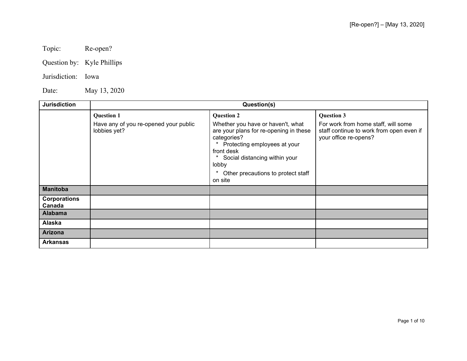Topic: Re-open?

Question by: Kyle Phillips

Jurisdiction: Iowa

Date: May 13, 2020

| <b>Jurisdiction</b>                      | Question(s)                                                                |                                                                                                                                                                                                                                                               |                                                                                                                               |
|------------------------------------------|----------------------------------------------------------------------------|---------------------------------------------------------------------------------------------------------------------------------------------------------------------------------------------------------------------------------------------------------------|-------------------------------------------------------------------------------------------------------------------------------|
|                                          | <b>Question 1</b><br>Have any of you re-opened your public<br>lobbies yet? | <b>Question 2</b><br>Whether you have or haven't, what<br>are your plans for re-opening in these<br>categories?<br>Protecting employees at your<br>front desk<br>Social distancing within your<br>lobby<br>*<br>Other precautions to protect staff<br>on site | <b>Question 3</b><br>For work from home staff, will some<br>staff continue to work from open even if<br>your office re-opens? |
| <b>Manitoba</b>                          |                                                                            |                                                                                                                                                                                                                                                               |                                                                                                                               |
| <b>Corporations</b><br>Canada<br>Alabama |                                                                            |                                                                                                                                                                                                                                                               |                                                                                                                               |
| Alaska                                   |                                                                            |                                                                                                                                                                                                                                                               |                                                                                                                               |
|                                          |                                                                            |                                                                                                                                                                                                                                                               |                                                                                                                               |
| <b>Arizona</b>                           |                                                                            |                                                                                                                                                                                                                                                               |                                                                                                                               |
| <b>Arkansas</b>                          |                                                                            |                                                                                                                                                                                                                                                               |                                                                                                                               |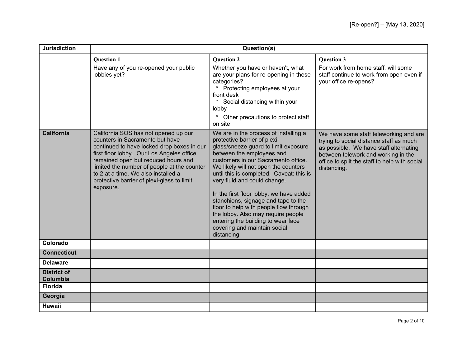| <b>Jurisdiction</b>            | Question(s)                                                                                                                                                                                                                                                                                                                                                |                                                                                                                                                                                                                                                                                                                                                                                                                                                                                                                                                              |                                                                                                                                                                                                                                    |
|--------------------------------|------------------------------------------------------------------------------------------------------------------------------------------------------------------------------------------------------------------------------------------------------------------------------------------------------------------------------------------------------------|--------------------------------------------------------------------------------------------------------------------------------------------------------------------------------------------------------------------------------------------------------------------------------------------------------------------------------------------------------------------------------------------------------------------------------------------------------------------------------------------------------------------------------------------------------------|------------------------------------------------------------------------------------------------------------------------------------------------------------------------------------------------------------------------------------|
|                                | <b>Question 1</b><br>Have any of you re-opened your public<br>lobbies yet?                                                                                                                                                                                                                                                                                 | <b>Ouestion 2</b><br>Whether you have or haven't, what<br>are your plans for re-opening in these<br>categories?<br>Protecting employees at your<br>front desk<br>Social distancing within your<br>lobby<br>$\star$<br>Other precautions to protect staff<br>on site                                                                                                                                                                                                                                                                                          | <b>Ouestion 3</b><br>For work from home staff, will some<br>staff continue to work from open even if<br>your office re-opens?                                                                                                      |
| <b>California</b>              | California SOS has not opened up our<br>counters in Sacramento but have<br>continued to have locked drop boxes in our<br>first floor lobby. Our Los Angeles office<br>remained open but reduced hours and<br>limited the number of people at the counter<br>to 2 at a time. We also installed a<br>protective barrier of plexi-glass to limit<br>exposure. | We are in the process of installing a<br>protective barrier of plexi-<br>glass/sneeze guard to limit exposure<br>between the employees and<br>customers in our Sacramento office.<br>We likely will not open the counters<br>until this is completed. Caveat: this is<br>very fluid and could change.<br>In the first floor lobby, we have added<br>stanchions, signage and tape to the<br>floor to help with people flow through<br>the lobby. Also may require people<br>entering the building to wear face<br>covering and maintain social<br>distancing. | We have some staff teleworking and are<br>trying to social distance staff as much<br>as possible. We have staff alternating<br>between telework and working in the<br>office to split the staff to help with social<br>distancing. |
| Colorado                       |                                                                                                                                                                                                                                                                                                                                                            |                                                                                                                                                                                                                                                                                                                                                                                                                                                                                                                                                              |                                                                                                                                                                                                                                    |
| <b>Connecticut</b>             |                                                                                                                                                                                                                                                                                                                                                            |                                                                                                                                                                                                                                                                                                                                                                                                                                                                                                                                                              |                                                                                                                                                                                                                                    |
| <b>Delaware</b>                |                                                                                                                                                                                                                                                                                                                                                            |                                                                                                                                                                                                                                                                                                                                                                                                                                                                                                                                                              |                                                                                                                                                                                                                                    |
| <b>District of</b><br>Columbia |                                                                                                                                                                                                                                                                                                                                                            |                                                                                                                                                                                                                                                                                                                                                                                                                                                                                                                                                              |                                                                                                                                                                                                                                    |
| <b>Florida</b>                 |                                                                                                                                                                                                                                                                                                                                                            |                                                                                                                                                                                                                                                                                                                                                                                                                                                                                                                                                              |                                                                                                                                                                                                                                    |
| Georgia                        |                                                                                                                                                                                                                                                                                                                                                            |                                                                                                                                                                                                                                                                                                                                                                                                                                                                                                                                                              |                                                                                                                                                                                                                                    |
| <b>Hawaii</b>                  |                                                                                                                                                                                                                                                                                                                                                            |                                                                                                                                                                                                                                                                                                                                                                                                                                                                                                                                                              |                                                                                                                                                                                                                                    |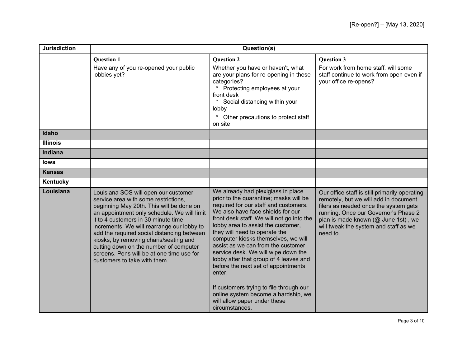| <b>Jurisdiction</b> | Question(s)                                                                                                                                                                                                                                                                                                                                                                                                                                                                 |                                                                                                                                                                                                                                                                                                                                                                                                                                                                                                                                                                                                                                   |                                                                                                                                                                                                                                                                     |
|---------------------|-----------------------------------------------------------------------------------------------------------------------------------------------------------------------------------------------------------------------------------------------------------------------------------------------------------------------------------------------------------------------------------------------------------------------------------------------------------------------------|-----------------------------------------------------------------------------------------------------------------------------------------------------------------------------------------------------------------------------------------------------------------------------------------------------------------------------------------------------------------------------------------------------------------------------------------------------------------------------------------------------------------------------------------------------------------------------------------------------------------------------------|---------------------------------------------------------------------------------------------------------------------------------------------------------------------------------------------------------------------------------------------------------------------|
|                     | <b>Ouestion 1</b><br>Have any of you re-opened your public<br>lobbies yet?                                                                                                                                                                                                                                                                                                                                                                                                  | <b>Question 2</b><br>Whether you have or haven't, what<br>are your plans for re-opening in these<br>categories?<br>Protecting employees at your<br>front desk<br>Social distancing within your<br>lobby<br>$^\star$<br>Other precautions to protect staff<br>on site                                                                                                                                                                                                                                                                                                                                                              | <b>Ouestion 3</b><br>For work from home staff, will some<br>staff continue to work from open even if<br>your office re-opens?                                                                                                                                       |
| Idaho               |                                                                                                                                                                                                                                                                                                                                                                                                                                                                             |                                                                                                                                                                                                                                                                                                                                                                                                                                                                                                                                                                                                                                   |                                                                                                                                                                                                                                                                     |
| <b>Illinois</b>     |                                                                                                                                                                                                                                                                                                                                                                                                                                                                             |                                                                                                                                                                                                                                                                                                                                                                                                                                                                                                                                                                                                                                   |                                                                                                                                                                                                                                                                     |
| Indiana             |                                                                                                                                                                                                                                                                                                                                                                                                                                                                             |                                                                                                                                                                                                                                                                                                                                                                                                                                                                                                                                                                                                                                   |                                                                                                                                                                                                                                                                     |
| lowa                |                                                                                                                                                                                                                                                                                                                                                                                                                                                                             |                                                                                                                                                                                                                                                                                                                                                                                                                                                                                                                                                                                                                                   |                                                                                                                                                                                                                                                                     |
| <b>Kansas</b>       |                                                                                                                                                                                                                                                                                                                                                                                                                                                                             |                                                                                                                                                                                                                                                                                                                                                                                                                                                                                                                                                                                                                                   |                                                                                                                                                                                                                                                                     |
| Kentucky            |                                                                                                                                                                                                                                                                                                                                                                                                                                                                             |                                                                                                                                                                                                                                                                                                                                                                                                                                                                                                                                                                                                                                   |                                                                                                                                                                                                                                                                     |
| Louisiana           | Louisiana SOS will open our customer<br>service area with some restrictions,<br>beginning May 20th. This will be done on<br>an appointment only schedule. We will limit<br>it to 4 customers in 30 minute time<br>increments. We will rearrange our lobby to<br>add the required social distancing between<br>kiosks, by removing charis/seating and<br>cutting down on the number of computer<br>screens. Pens will be at one time use for<br>customers to take with them. | We already had plexiglass in place<br>prior to the quarantine; masks will be<br>required for our staff and customers.<br>We also have face shields for our<br>front desk staff. We will not go into the<br>lobby area to assist the customer,<br>they will need to operate the<br>computer kiosks themselves, we will<br>assist as we can from the customer<br>service desk. We will wipe down the<br>lobby after that group of 4 leaves and<br>before the next set of appointments<br>enter.<br>If customers trying to file through our<br>online system become a hardship, we<br>will allow paper under these<br>circumstances. | Our office staff is still primarily operating<br>remotely, but we will add in document<br>filers as needed once the system gets<br>running. Once our Governor's Phase 2<br>plan is made known (@ June 1st), we<br>will tweak the system and staff as we<br>need to. |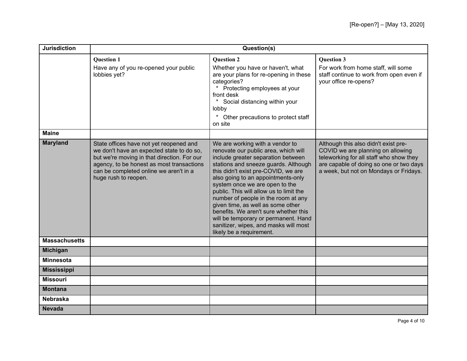| <b>Jurisdiction</b>  | Question(s)                                                                                                                                                                                                                                        |                                                                                                                                                                                                                                                                                                                                                                                                                                                                                                                                                   |                                                                                                                                                                                                           |
|----------------------|----------------------------------------------------------------------------------------------------------------------------------------------------------------------------------------------------------------------------------------------------|---------------------------------------------------------------------------------------------------------------------------------------------------------------------------------------------------------------------------------------------------------------------------------------------------------------------------------------------------------------------------------------------------------------------------------------------------------------------------------------------------------------------------------------------------|-----------------------------------------------------------------------------------------------------------------------------------------------------------------------------------------------------------|
|                      | <b>Question 1</b><br>Have any of you re-opened your public<br>lobbies yet?                                                                                                                                                                         | <b>Question 2</b><br>Whether you have or haven't, what<br>are your plans for re-opening in these<br>categories?<br>Protecting employees at your<br>front desk<br>$\star$<br>Social distancing within your<br>lobby<br>$^\star$<br>Other precautions to protect staff<br>on site                                                                                                                                                                                                                                                                   | <b>Question 3</b><br>For work from home staff, will some<br>staff continue to work from open even if<br>your office re-opens?                                                                             |
| <b>Maine</b>         |                                                                                                                                                                                                                                                    |                                                                                                                                                                                                                                                                                                                                                                                                                                                                                                                                                   |                                                                                                                                                                                                           |
| <b>Maryland</b>      | State offices have not yet reopened and<br>we don't have an expected state to do so,<br>but we're moving in that direction. For our<br>agency, to be honest as most transactions<br>can be completed online we aren't in a<br>huge rush to reopen. | We are working with a vendor to<br>renovate our public area, which will<br>include greater separation between<br>stations and sneeze guards. Although<br>this didn't exist pre-COVID, we are<br>also going to an appointments-only<br>system once we are open to the<br>public. This will allow us to limit the<br>number of people in the room at any<br>given time, as well as some other<br>benefits. We aren't sure whether this<br>will be temporary or permanent. Hand<br>sanitizer, wipes, and masks will most<br>likely be a requirement. | Although this also didn't exist pre-<br>COVID we are planning on allowing<br>teleworking for all staff who show they<br>are capable of doing so one or two days<br>a week, but not on Mondays or Fridays. |
| <b>Massachusetts</b> |                                                                                                                                                                                                                                                    |                                                                                                                                                                                                                                                                                                                                                                                                                                                                                                                                                   |                                                                                                                                                                                                           |
| <b>Michigan</b>      |                                                                                                                                                                                                                                                    |                                                                                                                                                                                                                                                                                                                                                                                                                                                                                                                                                   |                                                                                                                                                                                                           |
| <b>Minnesota</b>     |                                                                                                                                                                                                                                                    |                                                                                                                                                                                                                                                                                                                                                                                                                                                                                                                                                   |                                                                                                                                                                                                           |
| <b>Mississippi</b>   |                                                                                                                                                                                                                                                    |                                                                                                                                                                                                                                                                                                                                                                                                                                                                                                                                                   |                                                                                                                                                                                                           |
| <b>Missouri</b>      |                                                                                                                                                                                                                                                    |                                                                                                                                                                                                                                                                                                                                                                                                                                                                                                                                                   |                                                                                                                                                                                                           |
| <b>Montana</b>       |                                                                                                                                                                                                                                                    |                                                                                                                                                                                                                                                                                                                                                                                                                                                                                                                                                   |                                                                                                                                                                                                           |
| <b>Nebraska</b>      |                                                                                                                                                                                                                                                    |                                                                                                                                                                                                                                                                                                                                                                                                                                                                                                                                                   |                                                                                                                                                                                                           |
| <b>Nevada</b>        |                                                                                                                                                                                                                                                    |                                                                                                                                                                                                                                                                                                                                                                                                                                                                                                                                                   |                                                                                                                                                                                                           |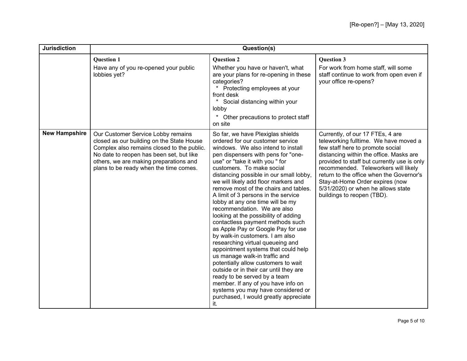| <b>Jurisdiction</b>  | Question(s)                                                                                                                                                                                                                                                   |                                                                                                                                                                                                                                                                                                                                                                                                                                                                                                                                                                                                                                                                                                                                                                                                                                                                                                                                                                       |                                                                                                                                                                                                                                                                                                                                                                                                    |
|----------------------|---------------------------------------------------------------------------------------------------------------------------------------------------------------------------------------------------------------------------------------------------------------|-----------------------------------------------------------------------------------------------------------------------------------------------------------------------------------------------------------------------------------------------------------------------------------------------------------------------------------------------------------------------------------------------------------------------------------------------------------------------------------------------------------------------------------------------------------------------------------------------------------------------------------------------------------------------------------------------------------------------------------------------------------------------------------------------------------------------------------------------------------------------------------------------------------------------------------------------------------------------|----------------------------------------------------------------------------------------------------------------------------------------------------------------------------------------------------------------------------------------------------------------------------------------------------------------------------------------------------------------------------------------------------|
|                      | <b>Question 1</b><br>Have any of you re-opened your public<br>lobbies yet?                                                                                                                                                                                    | <b>Question 2</b><br>Whether you have or haven't, what<br>are your plans for re-opening in these<br>categories?<br>Protecting employees at your<br>front desk<br>Social distancing within your<br>lobby<br>Other precautions to protect staff<br>on site                                                                                                                                                                                                                                                                                                                                                                                                                                                                                                                                                                                                                                                                                                              | <b>Question 3</b><br>For work from home staff, will some<br>staff continue to work from open even if<br>your office re-opens?                                                                                                                                                                                                                                                                      |
| <b>New Hampshire</b> | Our Customer Service Lobby remains<br>closed as our building on the State House<br>Complex also remains closed to the public.<br>No date to reopen has been set, but like<br>others, we are making preparations and<br>plans to be ready when the time comes. | So far, we have Plexiglas shields<br>ordered for our customer service<br>windows. We also intend to install<br>pen dispensers with pens for "one-<br>use" or "take it with you " for<br>customers. To make social<br>distancing possible in our small lobby,<br>we will likely add floor markers and<br>remove most of the chairs and tables.<br>A limit of 3 persons in the service<br>lobby at any one time will be my<br>recommendation. We are also<br>looking at the possibility of adding<br>contactless payment methods such<br>as Apple Pay or Google Pay for use<br>by walk-in customers. I am also<br>researching virtual queueing and<br>appointment systems that could help<br>us manage walk-in traffic and<br>potentially allow customers to wait<br>outside or in their car until they are<br>ready to be served by a team<br>member. If any of you have info on<br>systems you may have considered or<br>purchased, I would greatly appreciate<br>it. | Currently, of our 17 FTEs, 4 are<br>teleworking fulltime. We have moved a<br>few staff here to promote social<br>distancing within the office. Masks are<br>provided to staff but currently use is only<br>recommended. Teleworkers will likely<br>return to the office when the Governor's<br>Stay-at-Home Order expires (now<br>5/31/2020) or when he allows state<br>buildings to reopen (TBD). |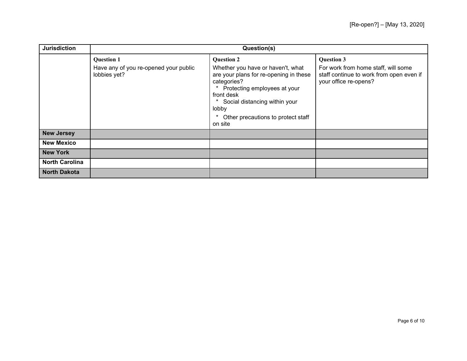| <b>Jurisdiction</b>   | Question(s)                                                                |                                                                                                                                                                                                                                                                         |                                                                                                                               |
|-----------------------|----------------------------------------------------------------------------|-------------------------------------------------------------------------------------------------------------------------------------------------------------------------------------------------------------------------------------------------------------------------|-------------------------------------------------------------------------------------------------------------------------------|
|                       | <b>Question 1</b><br>Have any of you re-opened your public<br>lobbies yet? | <b>Question 2</b><br>Whether you have or haven't, what<br>are your plans for re-opening in these<br>categories?<br>Protecting employees at your<br>front desk<br>Social distancing within your<br>$\ast$<br>lobby<br>*<br>Other precautions to protect staff<br>on site | <b>Question 3</b><br>For work from home staff, will some<br>staff continue to work from open even if<br>your office re-opens? |
| <b>New Jersey</b>     |                                                                            |                                                                                                                                                                                                                                                                         |                                                                                                                               |
| <b>New Mexico</b>     |                                                                            |                                                                                                                                                                                                                                                                         |                                                                                                                               |
| <b>New York</b>       |                                                                            |                                                                                                                                                                                                                                                                         |                                                                                                                               |
| <b>North Carolina</b> |                                                                            |                                                                                                                                                                                                                                                                         |                                                                                                                               |
| <b>North Dakota</b>   |                                                                            |                                                                                                                                                                                                                                                                         |                                                                                                                               |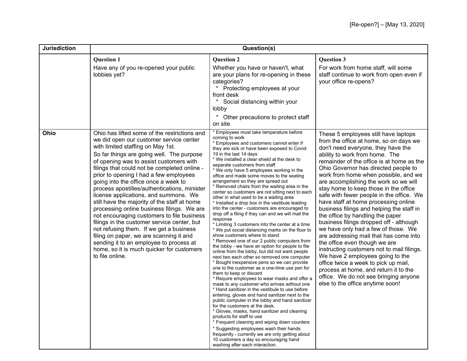| <b>Jurisdiction</b> | Question(s)                                                                                                                                                                                                                                                                                                                                                                                                                                                                                                                                                                                                                                                                                                                                                                                                                                 |                                                                                                                                                                                                                                                                                                                                                                                                                                                                                                                                                                                                                                                                                                                                                                                                                                                                                                                                                                                                                                                                                                                                                                                                                                                                                                                                                                                                                                                                                                                                                                                                                                                                                                                                                                                                        |                                                                                                                                                                                                                                                                                                                                                                                                                                                                                                                                                                                                                                                                                                                                                                                                                                                                                                                                                         |
|---------------------|---------------------------------------------------------------------------------------------------------------------------------------------------------------------------------------------------------------------------------------------------------------------------------------------------------------------------------------------------------------------------------------------------------------------------------------------------------------------------------------------------------------------------------------------------------------------------------------------------------------------------------------------------------------------------------------------------------------------------------------------------------------------------------------------------------------------------------------------|--------------------------------------------------------------------------------------------------------------------------------------------------------------------------------------------------------------------------------------------------------------------------------------------------------------------------------------------------------------------------------------------------------------------------------------------------------------------------------------------------------------------------------------------------------------------------------------------------------------------------------------------------------------------------------------------------------------------------------------------------------------------------------------------------------------------------------------------------------------------------------------------------------------------------------------------------------------------------------------------------------------------------------------------------------------------------------------------------------------------------------------------------------------------------------------------------------------------------------------------------------------------------------------------------------------------------------------------------------------------------------------------------------------------------------------------------------------------------------------------------------------------------------------------------------------------------------------------------------------------------------------------------------------------------------------------------------------------------------------------------------------------------------------------------------|---------------------------------------------------------------------------------------------------------------------------------------------------------------------------------------------------------------------------------------------------------------------------------------------------------------------------------------------------------------------------------------------------------------------------------------------------------------------------------------------------------------------------------------------------------------------------------------------------------------------------------------------------------------------------------------------------------------------------------------------------------------------------------------------------------------------------------------------------------------------------------------------------------------------------------------------------------|
|                     | <b>Question 1</b><br>Have any of you re-opened your public<br>lobbies yet?                                                                                                                                                                                                                                                                                                                                                                                                                                                                                                                                                                                                                                                                                                                                                                  | <b>Question 2</b><br>Whether you have or haven't, what<br>are your plans for re-opening in these<br>categories?<br>* Protecting employees at your<br>front desk<br>Social distancing within your<br>$\ast$<br>lobby<br>$\star$<br>Other precautions to protect staff<br>on site                                                                                                                                                                                                                                                                                                                                                                                                                                                                                                                                                                                                                                                                                                                                                                                                                                                                                                                                                                                                                                                                                                                                                                                                                                                                                                                                                                                                                                                                                                                        | <b>Question 3</b><br>For work from home staff, will some<br>staff continue to work from open even if<br>your office re-opens?                                                                                                                                                                                                                                                                                                                                                                                                                                                                                                                                                                                                                                                                                                                                                                                                                           |
| Ohio                | Ohio has lifted some of the restrictions and<br>we did open our customer service center<br>with limited staffing on May 1st.<br>So far things are going well. The purpose<br>of opening was to assist customers with<br>filings that could not be completed online -<br>prior to opening I had a few employees<br>going into the office once a week to<br>process apostilles/authentications, minister<br>license applications, and summons. We<br>still have the majority of the staff at home<br>processing online business filings. We are<br>not encouraging customers to file business<br>filings in the customer service center, but<br>not refusing them. If we get a business<br>filing on paper, we are scanning it and<br>sending it to an employee to process at<br>home, so it is much quicker for customers<br>to file online. | * Employees must take temperature before<br>coming to work<br>* Employees and customers cannot enter if<br>they are sick or have been exposed to Covid-<br>19 in the last 14 days<br>* We installed a clear shield at the desk to<br>separate customers from staff<br>* We only have 5 employees working in the<br>office and made some moves to the seating<br>arrangement so they are spread out<br>* Removed chairs from the waiting area in the<br>center so customers are not sitting next to each<br>other in what used to be a waiting area<br>* Installed a drop box in the vestibule leading<br>into the center - customers are encouraged to<br>drop off a filing if they can and we will mail the<br>response<br>* Limiting 3 customers into the center at a time<br>* We put social distancing marks on the floor to<br>show customers where to stand<br>* Removed one of our 2 public computers from<br>the lobby - we have an option for people to file<br>online from the lobby, but did not want people<br>next two each other so removed one computer<br>* Bought inexpensive pens so we can provide<br>one to the customer as a one-time use pen for<br>them to keep or discard<br>* Require employees to wear masks and offer a<br>mask to any customer who arrives without one<br>* Hand sanitizer in the vestibule to use before<br>entering, gloves and hand sanitizer next to the<br>public computer in the lobby and hand sanitizer<br>for the customers at the desk.<br>* Gloves, masks, hand sanitizer and cleaning<br>products for staff to use<br>* Frequent cleaning and wiping down counters<br>* Suggesting employees wash their hands<br>frequently - currently we are only getting about<br>10 customers a day so encouraging hand<br>washing after each interaction. | These 5 employees still have laptops<br>from the office at home, so on days we<br>don't need everyone, they have the<br>ability to work from home. The<br>remainder of the office is at home as the<br>Ohio Governor has directed people to<br>work from home when possible, and we<br>are accomplishing the work so we will<br>stay home to keep those in the office<br>safe with fewer people in the office. We<br>have staff at home processing online<br>business filings and helping the staff in<br>the office by handling the paper<br>business filings dropped off - although<br>we have only had a few of those. We<br>are addressing mail that has come into<br>the office even though we are<br>instructing customers not to mail filings.<br>We have 2 employees going to the<br>office twice a week to pick up mail,<br>process at home, and return it to the<br>office. We do not see bringing anyone<br>else to the office anytime soon! |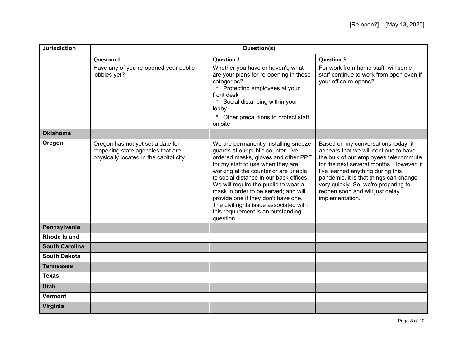| <b>Jurisdiction</b>   | Question(s)                                                                                                       |                                                                                                                                                                                                                                                                                                                                                                                                                                                               |                                                                                                                                                                                                                                                                                                                                                |
|-----------------------|-------------------------------------------------------------------------------------------------------------------|---------------------------------------------------------------------------------------------------------------------------------------------------------------------------------------------------------------------------------------------------------------------------------------------------------------------------------------------------------------------------------------------------------------------------------------------------------------|------------------------------------------------------------------------------------------------------------------------------------------------------------------------------------------------------------------------------------------------------------------------------------------------------------------------------------------------|
|                       | <b>Question 1</b><br>Have any of you re-opened your public<br>lobbies yet?                                        | <b>Question 2</b><br>Whether you have or haven't, what<br>are your plans for re-opening in these<br>categories?<br>Protecting employees at your<br>front desk<br>Social distancing within your<br>lobby<br>$^\star$<br>Other precautions to protect staff<br>on site                                                                                                                                                                                          | <b>Question 3</b><br>For work from home staff, will some<br>staff continue to work from open even if<br>your office re-opens?                                                                                                                                                                                                                  |
| <b>Oklahoma</b>       |                                                                                                                   |                                                                                                                                                                                                                                                                                                                                                                                                                                                               |                                                                                                                                                                                                                                                                                                                                                |
| Oregon                | Oregon has not yet set a date for<br>reopening state agencies that are<br>physically located in the capitol city. | We are permanently installing sneeze<br>guards at our public counter. I've<br>ordered masks, gloves and other PPE<br>for my staff to use when they are<br>working at the counter or are unable<br>to social distance in our back offices.<br>We will require the public to wear a<br>mask in order to be served; and will<br>provide one if they don't have one.<br>The civil rights issue associated with<br>this requirement is an outstanding<br>question. | Based on my conversations today, it<br>appears that we will continue to have<br>the bulk of our employees telecommute<br>for the next several months. However, if<br>I've learned anything during this<br>pandemic, it is that things can change<br>very quickly. So, we're preparing to<br>reopen soon and will just delay<br>implementation. |
| Pennsylvania          |                                                                                                                   |                                                                                                                                                                                                                                                                                                                                                                                                                                                               |                                                                                                                                                                                                                                                                                                                                                |
| <b>Rhode Island</b>   |                                                                                                                   |                                                                                                                                                                                                                                                                                                                                                                                                                                                               |                                                                                                                                                                                                                                                                                                                                                |
| <b>South Carolina</b> |                                                                                                                   |                                                                                                                                                                                                                                                                                                                                                                                                                                                               |                                                                                                                                                                                                                                                                                                                                                |
| <b>South Dakota</b>   |                                                                                                                   |                                                                                                                                                                                                                                                                                                                                                                                                                                                               |                                                                                                                                                                                                                                                                                                                                                |
| <b>Tennessee</b>      |                                                                                                                   |                                                                                                                                                                                                                                                                                                                                                                                                                                                               |                                                                                                                                                                                                                                                                                                                                                |
| Texas                 |                                                                                                                   |                                                                                                                                                                                                                                                                                                                                                                                                                                                               |                                                                                                                                                                                                                                                                                                                                                |
| <b>Utah</b>           |                                                                                                                   |                                                                                                                                                                                                                                                                                                                                                                                                                                                               |                                                                                                                                                                                                                                                                                                                                                |
| <b>Vermont</b>        |                                                                                                                   |                                                                                                                                                                                                                                                                                                                                                                                                                                                               |                                                                                                                                                                                                                                                                                                                                                |
| Virginia              |                                                                                                                   |                                                                                                                                                                                                                                                                                                                                                                                                                                                               |                                                                                                                                                                                                                                                                                                                                                |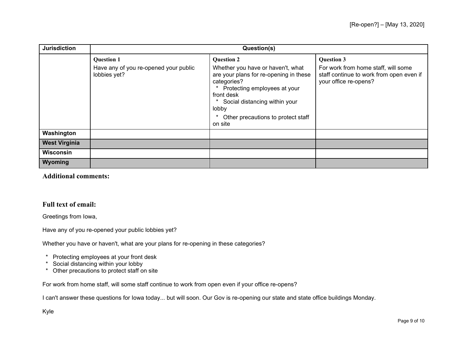| <b>Jurisdiction</b>  | Question(s)                                           |                                                                                                                                                                                                                                     |                                                                                                          |
|----------------------|-------------------------------------------------------|-------------------------------------------------------------------------------------------------------------------------------------------------------------------------------------------------------------------------------------|----------------------------------------------------------------------------------------------------------|
|                      | <b>Question 1</b>                                     | <b>Question 2</b>                                                                                                                                                                                                                   | <b>Question 3</b>                                                                                        |
|                      | Have any of you re-opened your public<br>lobbies yet? | Whether you have or haven't, what<br>are your plans for re-opening in these<br>categories?<br>Protecting employees at your<br>front desk<br>Social distancing within your<br>lobby<br>Other precautions to protect staff<br>on site | For work from home staff, will some<br>staff continue to work from open even if<br>your office re-opens? |
| Washington           |                                                       |                                                                                                                                                                                                                                     |                                                                                                          |
| <b>West Virginia</b> |                                                       |                                                                                                                                                                                                                                     |                                                                                                          |
| Wisconsin            |                                                       |                                                                                                                                                                                                                                     |                                                                                                          |
| Wyoming              |                                                       |                                                                                                                                                                                                                                     |                                                                                                          |

**Additional comments:**

## **Full text of email:**

Greetings from Iowa,

Have any of you re-opened your public lobbies yet?

Whether you have or haven't, what are your plans for re-opening in these categories?

- \* Protecting employees at your front desk<br>\* Social distancing within your lobby
- Social distancing within your lobby
- \* Other precautions to protect staff on site

For work from home staff, will some staff continue to work from open even if your office re-opens?

I can't answer these questions for Iowa today... but will soon. Our Gov is re-opening our state and state office buildings Monday.

Kyle